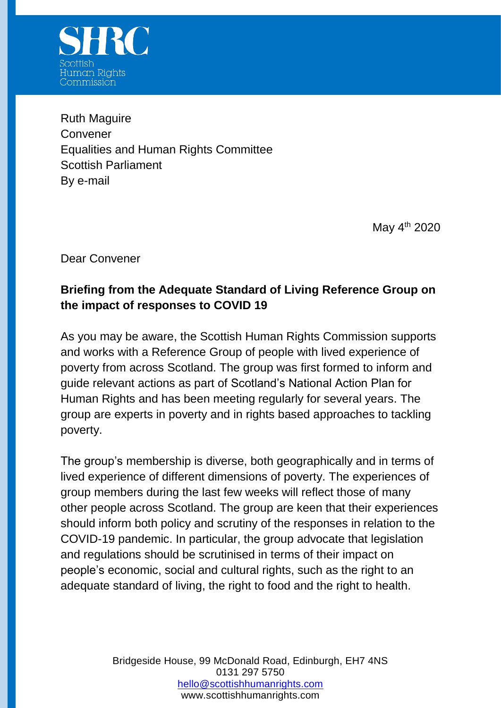

Ruth Maguire Convener Equalities and Human Rights Committee Scottish Parliament By e-mail

May  $4^{th}$  2020

Dear Convener

## **Briefing from the Adequate Standard of Living Reference Group on the impact of responses to COVID 19**

As you may be aware, the Scottish Human Rights Commission supports and works with a Reference Group of people with lived experience of poverty from across Scotland. The group was first formed to inform and guide relevant actions as part of Scotland's National Action Plan for Human Rights and has been meeting regularly for several years. The group are experts in poverty and in rights based approaches to tackling poverty.

The group's membership is diverse, both geographically and in terms of lived experience of different dimensions of poverty. The experiences of group members during the last few weeks will reflect those of many other people across Scotland. The group are keen that their experiences should inform both policy and scrutiny of the responses in relation to the COVID-19 pandemic. In particular, the group advocate that legislation and regulations should be scrutinised in terms of their impact on people's economic, social and cultural rights, such as the right to an adequate standard of living, the right to food and the right to health.